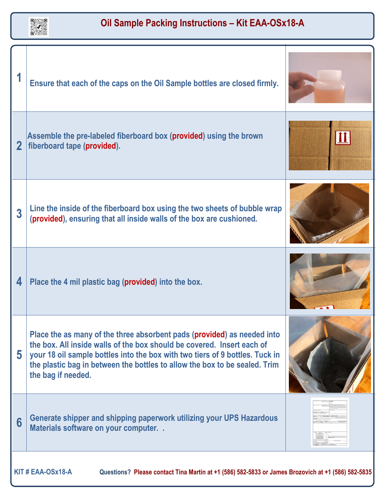

|                                                                                                                       | Ensure that each of the caps on the Oil Sample bottles are closed firmly.                                                                                                                                                                                                                                                             |  |
|-----------------------------------------------------------------------------------------------------------------------|---------------------------------------------------------------------------------------------------------------------------------------------------------------------------------------------------------------------------------------------------------------------------------------------------------------------------------------|--|
| $\overline{2}$                                                                                                        | Assemble the pre-labeled fiberboard box (provided) using the brown<br>fiberboard tape (provided).                                                                                                                                                                                                                                     |  |
| 3                                                                                                                     | Line the inside of the fiberboard box using the two sheets of bubble wrap<br>(provided), ensuring that all inside walls of the box are cushioned.                                                                                                                                                                                     |  |
| 4                                                                                                                     | Place the 4 mil plastic bag (provided) into the box.                                                                                                                                                                                                                                                                                  |  |
| 5                                                                                                                     | Place the as many of the three absorbent pads (provided) as needed into<br>the box. All inside walls of the box should be covered. Insert each of<br>your 18 oil sample bottles into the box with two tiers of 9 bottles. Tuck in<br>the plastic bag in between the bottles to allow the box to be sealed. Trim<br>the bag if needed. |  |
| 6                                                                                                                     | Generate shipper and shipping paperwork utilizing your UPS Hazardous<br>Materials software on your computer                                                                                                                                                                                                                           |  |
| KIT#EAA-OSx18-A<br>Questions? Please contact Tina Martin at +1 (586) 582-5833 or James Brozovich at +1 (586) 582-5835 |                                                                                                                                                                                                                                                                                                                                       |  |